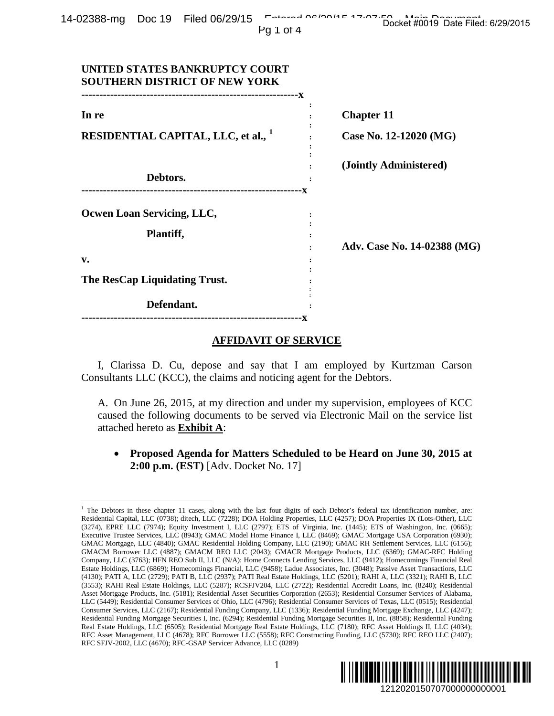|  | $14-02388$ -mg $\overrightarrow{D}$ Doc $19$ Filed $06/29/15$ $\overrightarrow{C}$ $\overrightarrow{C}$ $\overrightarrow{C}$ $\overrightarrow{C}$ $\overrightarrow{C}$ $\overrightarrow{C}$ $\overrightarrow{C}$ $\overrightarrow{C}$ $\overrightarrow{C}$ $\overrightarrow{C}$ $\overrightarrow{C}$ $\overrightarrow{C}$ $\overrightarrow{C}$ $\overrightarrow{C}$ $\overrightarrow{C}$ $\overrightarrow{C}$ $\overrightarrow{C}$ $\overrightarrow{C}$ $\overrightarrow{C}$ | Docket #0019 Date Filed: 6/29/2015 |
|--|------------------------------------------------------------------------------------------------------------------------------------------------------------------------------------------------------------------------------------------------------------------------------------------------------------------------------------------------------------------------------------------------------------------------------------------------------------------------------|------------------------------------|
|  | Pq 1 of 4                                                                                                                                                                                                                                                                                                                                                                                                                                                                    |                                    |

| 22300-THQ DUC 19 FIIEQ 00/29/13<br>Pq 1 of 4                                                                                                                                                                                                                                                                                                                                                                                                                                                                                                                                                                                                                                                                                                                                                                                                                                                                                                                                                                                                                                                                                                                                                                                                                                                                                                                                                                                                                                                                                                                                                                                                                                                                                                                                                                                                                                                                                                                                                                                                                                                                                                              | Docket #0019 Date Filed: 6/29/2015 |
|-----------------------------------------------------------------------------------------------------------------------------------------------------------------------------------------------------------------------------------------------------------------------------------------------------------------------------------------------------------------------------------------------------------------------------------------------------------------------------------------------------------------------------------------------------------------------------------------------------------------------------------------------------------------------------------------------------------------------------------------------------------------------------------------------------------------------------------------------------------------------------------------------------------------------------------------------------------------------------------------------------------------------------------------------------------------------------------------------------------------------------------------------------------------------------------------------------------------------------------------------------------------------------------------------------------------------------------------------------------------------------------------------------------------------------------------------------------------------------------------------------------------------------------------------------------------------------------------------------------------------------------------------------------------------------------------------------------------------------------------------------------------------------------------------------------------------------------------------------------------------------------------------------------------------------------------------------------------------------------------------------------------------------------------------------------------------------------------------------------------------------------------------------------|------------------------------------|
| UNITED STATES BANKRUPTCY COURT<br><b>SOUTHERN DISTRICT OF NEW YORK</b>                                                                                                                                                                                                                                                                                                                                                                                                                                                                                                                                                                                                                                                                                                                                                                                                                                                                                                                                                                                                                                                                                                                                                                                                                                                                                                                                                                                                                                                                                                                                                                                                                                                                                                                                                                                                                                                                                                                                                                                                                                                                                    |                                    |
| In re                                                                                                                                                                                                                                                                                                                                                                                                                                                                                                                                                                                                                                                                                                                                                                                                                                                                                                                                                                                                                                                                                                                                                                                                                                                                                                                                                                                                                                                                                                                                                                                                                                                                                                                                                                                                                                                                                                                                                                                                                                                                                                                                                     | <b>Chapter 11</b>                  |
| <b>RESIDENTIAL CAPITAL, LLC, et al., 1</b>                                                                                                                                                                                                                                                                                                                                                                                                                                                                                                                                                                                                                                                                                                                                                                                                                                                                                                                                                                                                                                                                                                                                                                                                                                                                                                                                                                                                                                                                                                                                                                                                                                                                                                                                                                                                                                                                                                                                                                                                                                                                                                                | Case No. 12-12020 (MG)             |
| Debtors.                                                                                                                                                                                                                                                                                                                                                                                                                                                                                                                                                                                                                                                                                                                                                                                                                                                                                                                                                                                                                                                                                                                                                                                                                                                                                                                                                                                                                                                                                                                                                                                                                                                                                                                                                                                                                                                                                                                                                                                                                                                                                                                                                  | (Jointly Administered)             |
| Ocwen Loan Servicing, LLC,                                                                                                                                                                                                                                                                                                                                                                                                                                                                                                                                                                                                                                                                                                                                                                                                                                                                                                                                                                                                                                                                                                                                                                                                                                                                                                                                                                                                                                                                                                                                                                                                                                                                                                                                                                                                                                                                                                                                                                                                                                                                                                                                |                                    |
| Plantiff,                                                                                                                                                                                                                                                                                                                                                                                                                                                                                                                                                                                                                                                                                                                                                                                                                                                                                                                                                                                                                                                                                                                                                                                                                                                                                                                                                                                                                                                                                                                                                                                                                                                                                                                                                                                                                                                                                                                                                                                                                                                                                                                                                 | Adv. Case No. 14-02388 (MG)        |
| v.<br>The ResCap Liquidating Trust.                                                                                                                                                                                                                                                                                                                                                                                                                                                                                                                                                                                                                                                                                                                                                                                                                                                                                                                                                                                                                                                                                                                                                                                                                                                                                                                                                                                                                                                                                                                                                                                                                                                                                                                                                                                                                                                                                                                                                                                                                                                                                                                       |                                    |
| Defendant.<br>-------------------------------X                                                                                                                                                                                                                                                                                                                                                                                                                                                                                                                                                                                                                                                                                                                                                                                                                                                                                                                                                                                                                                                                                                                                                                                                                                                                                                                                                                                                                                                                                                                                                                                                                                                                                                                                                                                                                                                                                                                                                                                                                                                                                                            |                                    |
| <b>AFFIDAVIT OF SERVICE</b>                                                                                                                                                                                                                                                                                                                                                                                                                                                                                                                                                                                                                                                                                                                                                                                                                                                                                                                                                                                                                                                                                                                                                                                                                                                                                                                                                                                                                                                                                                                                                                                                                                                                                                                                                                                                                                                                                                                                                                                                                                                                                                                               |                                    |
| I, Clarissa D. Cu, depose and say that I am employed by Kurtzman Carson<br>Consultants LLC (KCC), the claims and noticing agent for the Debtors.                                                                                                                                                                                                                                                                                                                                                                                                                                                                                                                                                                                                                                                                                                                                                                                                                                                                                                                                                                                                                                                                                                                                                                                                                                                                                                                                                                                                                                                                                                                                                                                                                                                                                                                                                                                                                                                                                                                                                                                                          |                                    |
| A. On June 26, 2015, at my direction and under my supervision, employees of KCC<br>caused the following documents to be served via Electronic Mail on the service list<br>attached hereto as <b>Exhibit A</b> :                                                                                                                                                                                                                                                                                                                                                                                                                                                                                                                                                                                                                                                                                                                                                                                                                                                                                                                                                                                                                                                                                                                                                                                                                                                                                                                                                                                                                                                                                                                                                                                                                                                                                                                                                                                                                                                                                                                                           |                                    |
| Proposed Agenda for Matters Scheduled to be Heard on June 30, 2015 at<br>2:00 p.m. (EST) [Adv. Docket No. 17]                                                                                                                                                                                                                                                                                                                                                                                                                                                                                                                                                                                                                                                                                                                                                                                                                                                                                                                                                                                                                                                                                                                                                                                                                                                                                                                                                                                                                                                                                                                                                                                                                                                                                                                                                                                                                                                                                                                                                                                                                                             |                                    |
| <sup>1</sup> The Debtors in these chapter 11 cases, along with the last four digits of each Debtor's federal tax identification number, are:<br>Residential Capital, LLC (0738); ditech, LLC (7228); DOA Holding Properties, LLC (4257); DOA Properties IX (Lots-Other), LLC<br>(3274), EPRE LLC (7974); Equity Investment I, LLC (2797); ETS of Virginia, Inc. (1445); ETS of Washington, Inc. (0665);<br>Executive Trustee Services, LLC (8943); GMAC Model Home Finance I, LLC (8469); GMAC Mortgage USA Corporation (6930);<br>GMAC Mortgage, LLC (4840); GMAC Residential Holding Company, LLC (2190); GMAC RH Settlement Services, LLC (6156);<br>GMACM Borrower LLC (4887); GMACM REO LLC (2043); GMACR Mortgage Products, LLC (6369); GMAC-RFC Holding<br>Company, LLC (3763); HFN REO Sub II, LLC (N/A); Home Connects Lending Services, LLC (9412); Homecomings Financial Real<br>Estate Holdings, LLC (6869); Homecomings Financial, LLC (9458); Ladue Associates, Inc. (3048); Passive Asset Transactions, LLC<br>(4130); PATI A, LLC (2729); PATI B, LLC (2937); PATI Real Estate Holdings, LLC (5201); RAHI A, LLC (3321); RAHI B, LLC<br>(3553); RAHI Real Estate Holdings, LLC (5287); RCSFJV204, LLC (2722); Residential Accredit Loans, Inc. (8240); Residential<br>Asset Mortgage Products, Inc. (5181); Residential Asset Securities Corporation (2653); Residential Consumer Services of Alabama,<br>LLC (5449); Residential Consumer Services of Ohio, LLC (4796); Residential Consumer Services of Texas, LLC (0515); Residential<br>Consumer Services, LLC (2167); Residential Funding Company, LLC (1336); Residential Funding Mortgage Exchange, LLC (4247);<br>Residential Funding Mortgage Securities I, Inc. (6294); Residential Funding Mortgage Securities II, Inc. (8858); Residential Funding<br>Real Estate Holdings, LLC (6505); Residential Mortgage Real Estate Holdings, LLC (7180); RFC Asset Holdings II, LLC (4034);<br>RFC Asset Management, LLC (4678); RFC Borrower LLC (5558); RFC Constructing Funding, LLC (5730); RFC REO LLC (2407);<br>RFC SFJV-2002, LLC (4670); RFC-GSAP Servicer Advance, LLC (0289) |                                    |
| $\mathbf{1}$                                                                                                                                                                                                                                                                                                                                                                                                                                                                                                                                                                                                                                                                                                                                                                                                                                                                                                                                                                                                                                                                                                                                                                                                                                                                                                                                                                                                                                                                                                                                                                                                                                                                                                                                                                                                                                                                                                                                                                                                                                                                                                                                              | ║║║║<br>1212020150707000000000001  |

## **AFFIDAVIT OF SERVICE**

<span id="page-0-0"></span><sup>&</sup>lt;sup>1</sup> The Debtors in these chapter 11 cases, along with the last four digits of each Debtor's federal tax identification number, are: Residential Capital, LLC (0738); ditech, LLC (7228); DOA Holding Properties, LLC (4257); DOA Properties IX (Lots-Other), LLC (3274), EPRE LLC (7974); Equity Investment I, LLC (2797); ETS of Virginia, Inc. (1445); ETS of Washington, Inc. (0665); Executive Trustee Services, LLC (8943); GMAC Model Home Finance I, LLC (8469); GMAC Mortgage USA Corporation (6930); GMAC Mortgage, LLC (4840); GMAC Residential Holding Company, LLC (2190); GMAC RH Settlement Services, LLC (6156); GMACM Borrower LLC (4887); GMACM REO LLC (2043); GMACR Mortgage Products, LLC (6369); GMAC-RFC Holding Company, LLC (3763); HFN REO Sub II, LLC (N/A); Home Connects Lending Services, LLC (9412); Homecomings Financial Real Estate Holdings, LLC (6869); Homecomings Financial, LLC (9458); Ladue Associates, Inc. (3048); Passive Asset Transactions, LLC (4130); PATI A, LLC (2729); PATI B, LLC (2937); PATI Real Estate Holdings, LLC (5201); RAHI A, LLC (3321); RAHI B, LLC (3553); RAHI Real Estate Holdings, LLC (5287); RCSFJV204, LLC (2722); Residential Accredit Loans, Inc. (8240); Residential Asset Mortgage Products, Inc. (5181); Residential Asset Securities Corporation (2653); Residential Consumer Services of Alabama, LLC (5449); Residential Consumer Services of Ohio, LLC (4796); Residential Consumer Services of Texas, LLC (0515); Residential Consumer Services, LLC (2167); Residential Funding Company, LLC (1336); Residential Funding Mortgage Exchange, LLC (4247); Residential Funding Mortgage Securities I, Inc. (6294); Residential Funding Mortgage Securities II, Inc. (8858); Residential Funding Real Estate Holdings, LLC (6505); Residential Mortgage Real Estate Holdings, LLC (7180); RFC Asset Holdings II, LLC (4034); RFC Asset Management, LLC (4678); RFC Borrower LLC (5558); RFC Constructing Funding, LLC (5730); RFC REO LLC (2407); RFC SFJV-2002, LLC (4670); RFC-GSAP Servicer Advance, LLC (0289)

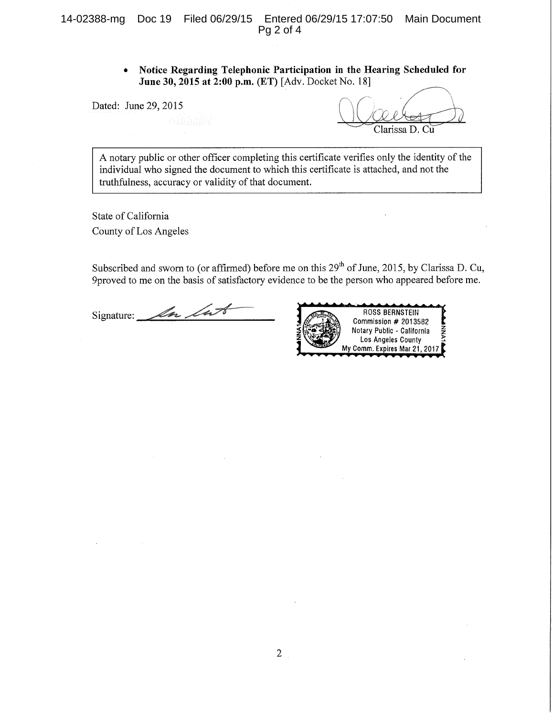Notice Regarding Telephonic Participation in the Hearing Scheduled for  $\bullet$ June 30, 2015 at 2:00 p.m. (ET) [Adv. Docket No. 18]

Dated: June 29, 2015

Clarissa D. Cu

A notary public or other officer completing this certificate verifies only the identity of the individual who signed the document to which this certificate is attached, and not the truthfulness, accuracy or validity of that document.

State of California County of Los Angeles

Subscribed and sworn to (or affirmed) before me on this 29<sup>th</sup> of June, 2015, by Clarissa D. Cu, 9proved to me on the basis of satisfactory evidence to be the person who appeared before me.

In Int Signature:

**ROSS BERNSTEIN** Commission # 2013582 Notary Public - California Los Angeles County My Comm. Expires Mar 21, 2017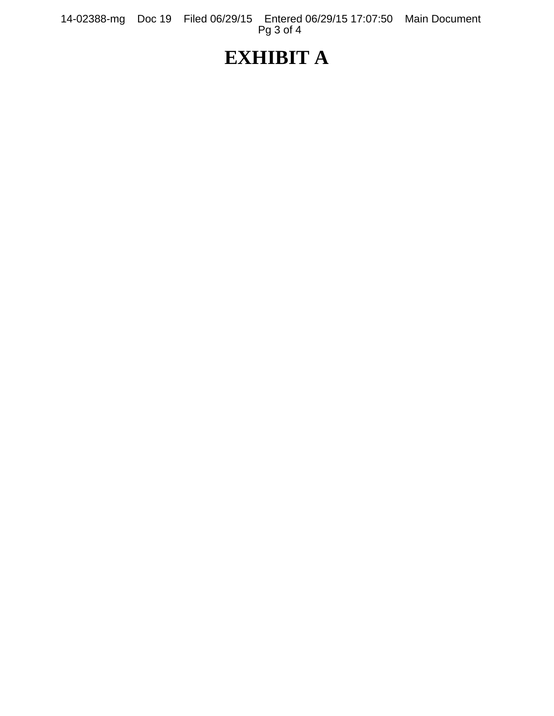14-02388-mg Doc 19 Filed 06/29/15 Entered 06/29/15 17:07:50 Main Document Pg 3 of 4

## **EXHIBIT A**